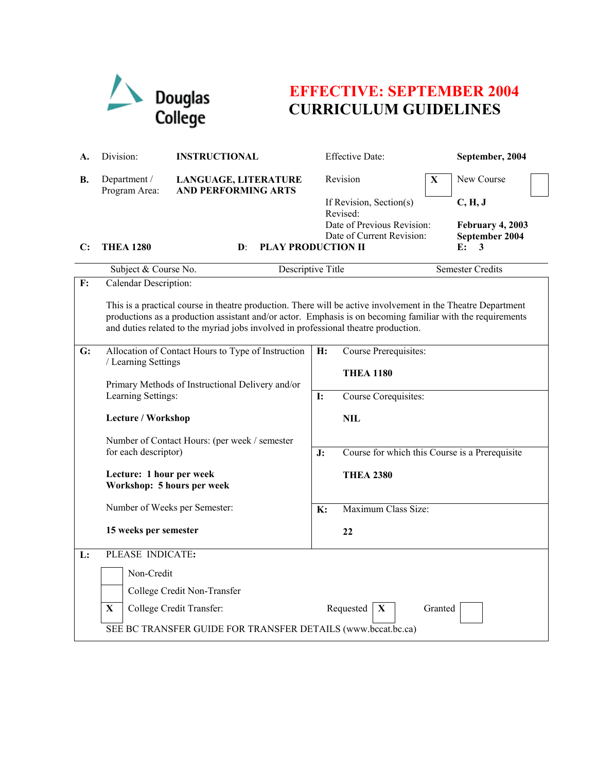

# **EFFECTIVE: SEPTEMBER 2004 CURRICULUM GUIDELINES**

| А.           | Division:                                                                                                                                                                                                                                                                                                        | <b>INSTRUCTIONAL</b>                                                                                                                                                             |                                       | Effective Date:                                      |             | September, 2004         |  |  |
|--------------|------------------------------------------------------------------------------------------------------------------------------------------------------------------------------------------------------------------------------------------------------------------------------------------------------------------|----------------------------------------------------------------------------------------------------------------------------------------------------------------------------------|---------------------------------------|------------------------------------------------------|-------------|-------------------------|--|--|
| В.           | Department /<br>Program Area:                                                                                                                                                                                                                                                                                    | LANGUAGE, LITERATURE<br><b>AND PERFORMING ARTS</b>                                                                                                                               |                                       | Revision                                             | $\mathbf X$ | New Course              |  |  |
|              |                                                                                                                                                                                                                                                                                                                  |                                                                                                                                                                                  |                                       | If Revision, Section(s)                              |             | C, H, J                 |  |  |
|              |                                                                                                                                                                                                                                                                                                                  |                                                                                                                                                                                  |                                       | Revised:<br>Date of Previous Revision:               |             | February 4, 2003        |  |  |
|              |                                                                                                                                                                                                                                                                                                                  |                                                                                                                                                                                  |                                       | Date of Current Revision:                            |             | September 2004          |  |  |
| $\mathbf{C}$ | <b>THEA 1280</b>                                                                                                                                                                                                                                                                                                 | <b>PLAY PRODUCTION II</b><br>$\mathbf{D}$ :                                                                                                                                      |                                       |                                                      |             | E:<br>3                 |  |  |
|              | Subject & Course No.                                                                                                                                                                                                                                                                                             | Descriptive Title                                                                                                                                                                |                                       |                                                      |             | <b>Semester Credits</b> |  |  |
| F:           | Calendar Description:                                                                                                                                                                                                                                                                                            |                                                                                                                                                                                  |                                       |                                                      |             |                         |  |  |
|              | This is a practical course in theatre production. There will be active involvement in the Theatre Department<br>productions as a production assistant and/or actor. Emphasis is on becoming familiar with the requirements<br>and duties related to the myriad jobs involved in professional theatre production. |                                                                                                                                                                                  |                                       |                                                      |             |                         |  |  |
| G:           |                                                                                                                                                                                                                                                                                                                  | Allocation of Contact Hours to Type of Instruction<br>/ Learning Settings<br>Primary Methods of Instructional Delivery and/or<br>Learning Settings:<br><b>Lecture / Workshop</b> |                                       | Course Prerequisites:                                |             |                         |  |  |
|              |                                                                                                                                                                                                                                                                                                                  |                                                                                                                                                                                  |                                       | <b>THEA 1180</b>                                     |             |                         |  |  |
|              |                                                                                                                                                                                                                                                                                                                  |                                                                                                                                                                                  |                                       |                                                      |             |                         |  |  |
|              |                                                                                                                                                                                                                                                                                                                  |                                                                                                                                                                                  |                                       | Course Corequisites:<br>I:                           |             |                         |  |  |
|              |                                                                                                                                                                                                                                                                                                                  |                                                                                                                                                                                  |                                       | <b>NIL</b>                                           |             |                         |  |  |
|              |                                                                                                                                                                                                                                                                                                                  | Number of Contact Hours: (per week / semester<br>for each descriptor)<br>Lecture: 1 hour per week<br>Workshop: 5 hours per week                                                  |                                       |                                                      |             |                         |  |  |
|              |                                                                                                                                                                                                                                                                                                                  |                                                                                                                                                                                  |                                       | Course for which this Course is a Prerequisite<br>J: |             |                         |  |  |
|              |                                                                                                                                                                                                                                                                                                                  |                                                                                                                                                                                  |                                       | <b>THEA 2380</b>                                     |             |                         |  |  |
|              | Number of Weeks per Semester:                                                                                                                                                                                                                                                                                    |                                                                                                                                                                                  | Maximum Class Size:<br>$\mathbf{K}$ : |                                                      |             |                         |  |  |
|              | 15 weeks per semester                                                                                                                                                                                                                                                                                            |                                                                                                                                                                                  |                                       | 22                                                   |             |                         |  |  |
| L:           | PLEASE INDICATE:                                                                                                                                                                                                                                                                                                 |                                                                                                                                                                                  |                                       |                                                      |             |                         |  |  |
|              |                                                                                                                                                                                                                                                                                                                  | Non-Credit                                                                                                                                                                       |                                       |                                                      |             |                         |  |  |
|              |                                                                                                                                                                                                                                                                                                                  | College Credit Non-Transfer                                                                                                                                                      |                                       |                                                      |             |                         |  |  |
|              | $\mathbf X$                                                                                                                                                                                                                                                                                                      | X<br>College Credit Transfer:<br>Requested<br>Granted                                                                                                                            |                                       |                                                      |             |                         |  |  |
|              | SEE BC TRANSFER GUIDE FOR TRANSFER DETAILS (www.bccat.bc.ca)                                                                                                                                                                                                                                                     |                                                                                                                                                                                  |                                       |                                                      |             |                         |  |  |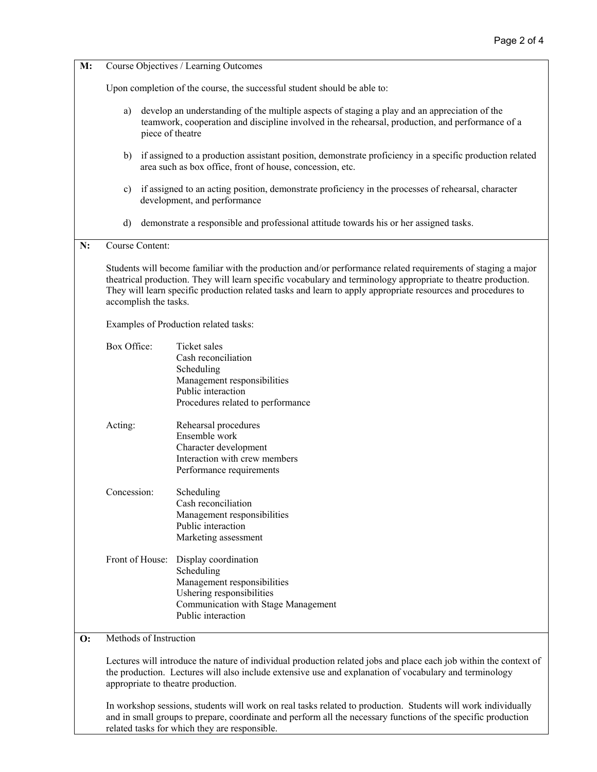| M:             | Course Objectives / Learning Outcomes                                                                                                                                                                                                                                                                                                                                                                                                                                                                                                                              |                                                                                                                                                             |  |  |  |  |  |
|----------------|--------------------------------------------------------------------------------------------------------------------------------------------------------------------------------------------------------------------------------------------------------------------------------------------------------------------------------------------------------------------------------------------------------------------------------------------------------------------------------------------------------------------------------------------------------------------|-------------------------------------------------------------------------------------------------------------------------------------------------------------|--|--|--|--|--|
|                | Upon completion of the course, the successful student should be able to:                                                                                                                                                                                                                                                                                                                                                                                                                                                                                           |                                                                                                                                                             |  |  |  |  |  |
|                | develop an understanding of the multiple aspects of staging a play and an appreciation of the<br>a)<br>teamwork, cooperation and discipline involved in the rehearsal, production, and performance of a<br>piece of theatre<br>if assigned to a production assistant position, demonstrate proficiency in a specific production related<br>b)<br>area such as box office, front of house, concession, etc.<br>if assigned to an acting position, demonstrate proficiency in the processes of rehearsal, character<br>$\mathbf{c})$<br>development, and performance |                                                                                                                                                             |  |  |  |  |  |
|                |                                                                                                                                                                                                                                                                                                                                                                                                                                                                                                                                                                    |                                                                                                                                                             |  |  |  |  |  |
|                |                                                                                                                                                                                                                                                                                                                                                                                                                                                                                                                                                                    |                                                                                                                                                             |  |  |  |  |  |
|                | $\mathbf{d}$<br>demonstrate a responsible and professional attitude towards his or her assigned tasks.                                                                                                                                                                                                                                                                                                                                                                                                                                                             |                                                                                                                                                             |  |  |  |  |  |
| N:             | Course Content:                                                                                                                                                                                                                                                                                                                                                                                                                                                                                                                                                    |                                                                                                                                                             |  |  |  |  |  |
|                | Students will become familiar with the production and/or performance related requirements of staging a major<br>theatrical production. They will learn specific vocabulary and terminology appropriate to theatre production.<br>They will learn specific production related tasks and learn to apply appropriate resources and procedures to<br>accomplish the tasks.                                                                                                                                                                                             |                                                                                                                                                             |  |  |  |  |  |
|                | Examples of Production related tasks:                                                                                                                                                                                                                                                                                                                                                                                                                                                                                                                              |                                                                                                                                                             |  |  |  |  |  |
|                | Box Office:                                                                                                                                                                                                                                                                                                                                                                                                                                                                                                                                                        | Ticket sales<br>Cash reconciliation<br>Scheduling<br>Management responsibilities<br>Public interaction<br>Procedures related to performance                 |  |  |  |  |  |
|                | Acting:                                                                                                                                                                                                                                                                                                                                                                                                                                                                                                                                                            | Rehearsal procedures<br>Ensemble work<br>Character development<br>Interaction with crew members<br>Performance requirements                                 |  |  |  |  |  |
|                | Concession:                                                                                                                                                                                                                                                                                                                                                                                                                                                                                                                                                        | Scheduling<br>Cash reconciliation<br>Management responsibilities<br>Public interaction<br>Marketing assessment                                              |  |  |  |  |  |
|                | Front of House:                                                                                                                                                                                                                                                                                                                                                                                                                                                                                                                                                    | Display coordination<br>Scheduling<br>Management responsibilities<br>Ushering responsibilities<br>Communication with Stage Management<br>Public interaction |  |  |  |  |  |
| $\mathbf{O}$ : | Methods of Instruction                                                                                                                                                                                                                                                                                                                                                                                                                                                                                                                                             |                                                                                                                                                             |  |  |  |  |  |

Lectures will introduce the nature of individual production related jobs and place each job within the context of the production. Lectures will also include extensive use and explanation of vocabulary and terminology appropriate to theatre production.

In workshop sessions, students will work on real tasks related to production. Students will work individually and in small groups to prepare, coordinate and perform all the necessary functions of the specific production related tasks for which they are responsible.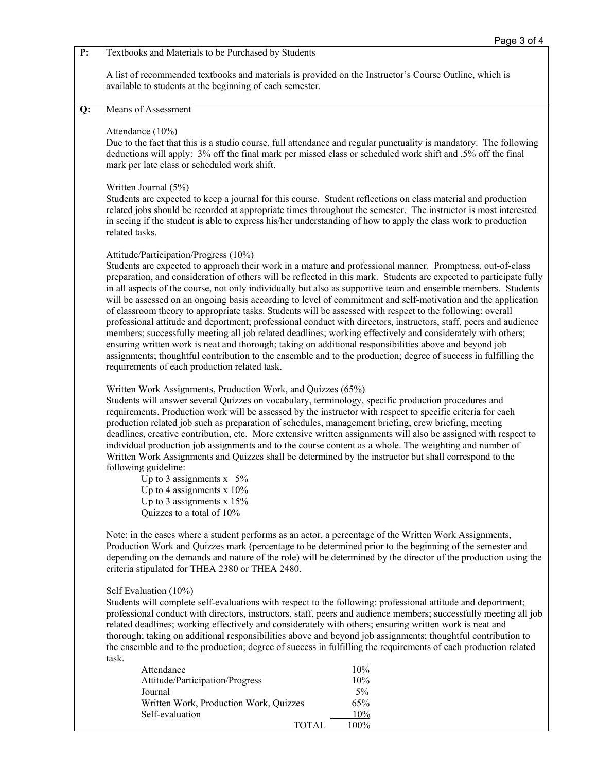A list of recommended textbooks and materials is provided on the Instructor's Course Outline, which is available to students at the beginning of each semester.

## **Q:** Means of Assessment

### Attendance (10%)

Due to the fact that this is a studio course, full attendance and regular punctuality is mandatory. The following deductions will apply: 3% off the final mark per missed class or scheduled work shift and .5% off the final mark per late class or scheduled work shift.

#### Written Journal (5%)

Students are expected to keep a journal for this course. Student reflections on class material and production related jobs should be recorded at appropriate times throughout the semester. The instructor is most interested in seeing if the student is able to express his/her understanding of how to apply the class work to production related tasks.

#### Attitude/Participation/Progress (10%)

Students are expected to approach their work in a mature and professional manner. Promptness, out-of-class preparation, and consideration of others will be reflected in this mark. Students are expected to participate fully in all aspects of the course, not only individually but also as supportive team and ensemble members. Students will be assessed on an ongoing basis according to level of commitment and self-motivation and the application of classroom theory to appropriate tasks. Students will be assessed with respect to the following: overall professional attitude and deportment; professional conduct with directors, instructors, staff, peers and audience members; successfully meeting all job related deadlines; working effectively and considerately with others; ensuring written work is neat and thorough; taking on additional responsibilities above and beyond job assignments; thoughtful contribution to the ensemble and to the production; degree of success in fulfilling the requirements of each production related task.

### Written Work Assignments, Production Work, and Quizzes (65%)

Students will answer several Quizzes on vocabulary, terminology, specific production procedures and requirements. Production work will be assessed by the instructor with respect to specific criteria for each production related job such as preparation of schedules, management briefing, crew briefing, meeting deadlines, creative contribution, etc. More extensive written assignments will also be assigned with respect to individual production job assignments and to the course content as a whole. The weighting and number of Written Work Assignments and Quizzes shall be determined by the instructor but shall correspond to the following guideline:

Up to 3 assignments  $x$  5% Up to 4 assignments  $x$  10% Up to 3 assignments  $x$  15% Quizzes to a total of 10%

Note: in the cases where a student performs as an actor, a percentage of the Written Work Assignments, Production Work and Quizzes mark (percentage to be determined prior to the beginning of the semester and depending on the demands and nature of the role) will be determined by the director of the production using the criteria stipulated for THEA 2380 or THEA 2480.

#### Self Evaluation (10%)

Students will complete self-evaluations with respect to the following: professional attitude and deportment; professional conduct with directors, instructors, staff, peers and audience members; successfully meeting all job related deadlines; working effectively and considerately with others; ensuring written work is neat and thorough; taking on additional responsibilities above and beyond job assignments; thoughtful contribution to the ensemble and to the production; degree of success in fulfilling the requirements of each production related task.

| Attendance                             | 10%     |
|----------------------------------------|---------|
| Attitude/Participation/Progress        | 10%     |
| Journal                                | 5%      |
| Written Work, Production Work, Quizzes | 65%     |
| Self-evaluation                        | 10%     |
| TOTAL                                  | $100\%$ |